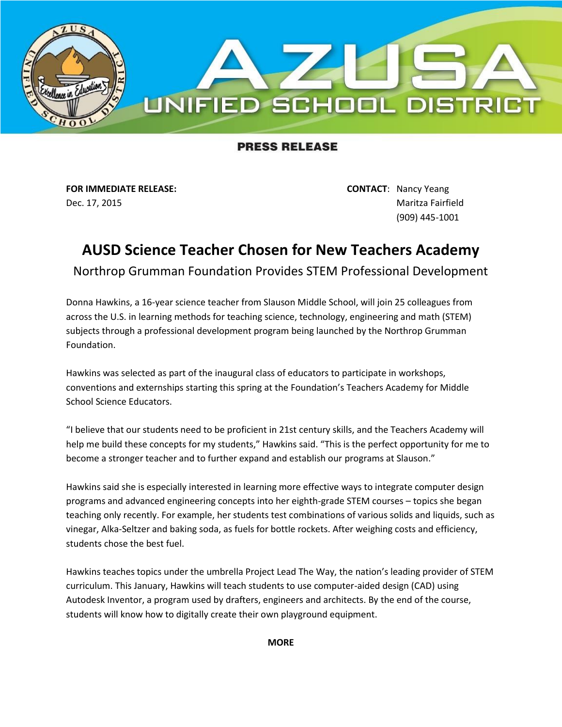

## **PRESS RELEASE**

**FOR IMMEDIATE RELEASE: CONTACT**: Nancy Yeang

Dec. 17, 2015 **Maritza Fairfield** (909) 445-1001

## **AUSD Science Teacher Chosen for New Teachers Academy**

Northrop Grumman Foundation Provides STEM Professional Development

Donna Hawkins, a 16-year science teacher from Slauson Middle School, will join 25 colleagues from across the U.S. in learning methods for teaching science, technology, engineering and math (STEM) subjects through a professional development program being launched by the Northrop Grumman Foundation.

Hawkins was selected as part of the inaugural class of educators to participate in workshops, conventions and externships starting this spring at the Foundation's Teachers Academy for Middle School Science Educators.

"I believe that our students need to be proficient in 21st century skills, and the Teachers Academy will help me build these concepts for my students," Hawkins said. "This is the perfect opportunity for me to become a stronger teacher and to further expand and establish our programs at Slauson."

Hawkins said she is especially interested in learning more effective ways to integrate computer design programs and advanced engineering concepts into her eighth-grade STEM courses – topics she began teaching only recently. For example, her students test combinations of various solids and liquids, such as vinegar, Alka-Seltzer and baking soda, as fuels for bottle rockets. After weighing costs and efficiency, students chose the best fuel.

Hawkins teaches topics under the umbrella Project Lead The Way, the nation's leading provider of STEM curriculum. This January, Hawkins will teach students to use computer-aided design (CAD) using Autodesk Inventor, a program used by drafters, engineers and architects. By the end of the course, students will know how to digitally create their own playground equipment.

**MORE**